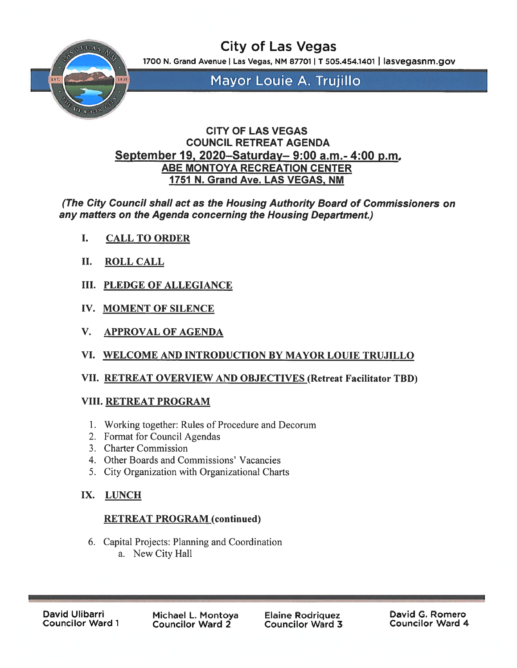

City of Las Vegas

1700 N. Grand Avenue | Las Vegas, NM 87701 | T 505.454.1401 | lasvegasnm.gov

Mayor Louie A. Trujillo

## CITY OF LAS VEGAS COUNCIL RETREAT AGENDA September 19, 2020–Saturday– 9:00 a.m.- 4:00 p.m. ABE MONTOYA RECREATION CENTER 1751 N. Grand Ave. LAS VEGAS, NM

(The City Council shall act as the Housing Authority Board of Commissioners on any matters on the Agenda concerning the Housing Department.)

- I. CALL TO ORDER
- II. ROLL CALL
- III. PLEDGE OF ALLEGIANCE
- IV. MOMENT OF SILENCE
- V. APPROVAL OF AGENDA
- VI. WELCOME AND INTRODUCTION BY MAYOR LOUIE TRUJILLO

## VII. RETREAT OVERVIEW AND OBJECTIVES (Retreat Facilitator TBD)

## VIII. RETREAT PROGRAM

- 1. Working together: Rules of Procedure and Decorum
- 2, Format for Council Agendas
- 3. Charter Commission
- 4. Other Boards and Commissions' Vacancies
- 5. City Organization with Organizational Charts

# IX. LUNCH

# RETREAT PROGRAM (continued)

6. Capital Projects: Planning and Coordination a. New City Hall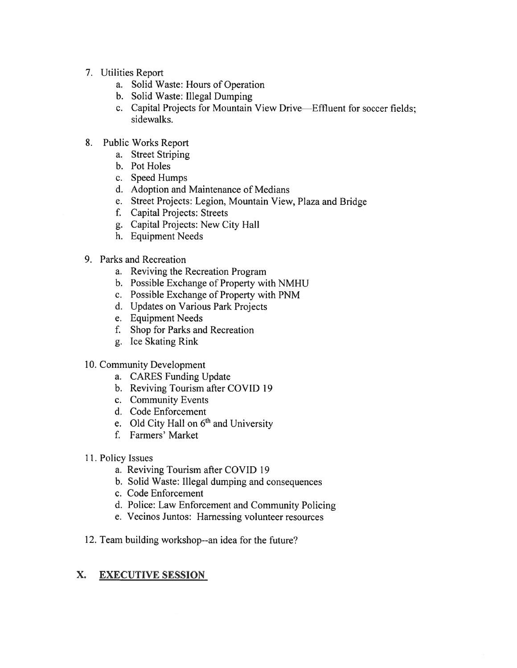- 7. Utilities Report
	- a. Solid Waste: Hours of Operation
	- b. Solid Waste: Illegal Dumping
	- c. Capital Projects for Mountain View Drive—Effluent for soccer fields; sidewalks.
- 8. Public Works Report
	- a. Street Striping
	- b. Pot Holes
	- c. Speed Humps
	- d. Adoption and Maintenance of Medians
	- e. Street Projects: Legion. Mountain View. Plaza and Bridge
	- f. Capital Projects: Streets
	- g. Capital Projects: New City Hall
	- h. Equipment Needs
- 9. Parks and Recreation
	- a. Reviving the Recreation Program
	- b. Possible Exchange of Property with NMHU
	- c. Possible Exchange of Property with PNM
	- d. Updates on Various Park Projects
	- e. Equipment Needs
	- f. Shop for Parks and Recreation
	- g. Ice Skating Rink
- 10. Community Development
	- a. CARES Funding Update
	- b. Reviving Tourism after COVID 19
	- c. Community Events
	- d. Code Enforcement
	- e. Old City Hall on  $6<sup>th</sup>$  and University
	- f. Farmers' Market
- 11. Policy Issues
	- a. Reviving Tourism after COVID 19
	- b. Solid Waste: Illegal dumping and consequences
	- c. Code Enforcement
	- d. Police: Law Enforcement and Community Policing
	- e. Vecinos Juntos: Harnessing volunteer resources
- 12. Team building workshop--an idea for the future?

#### X. EXECUTIVE SESSION